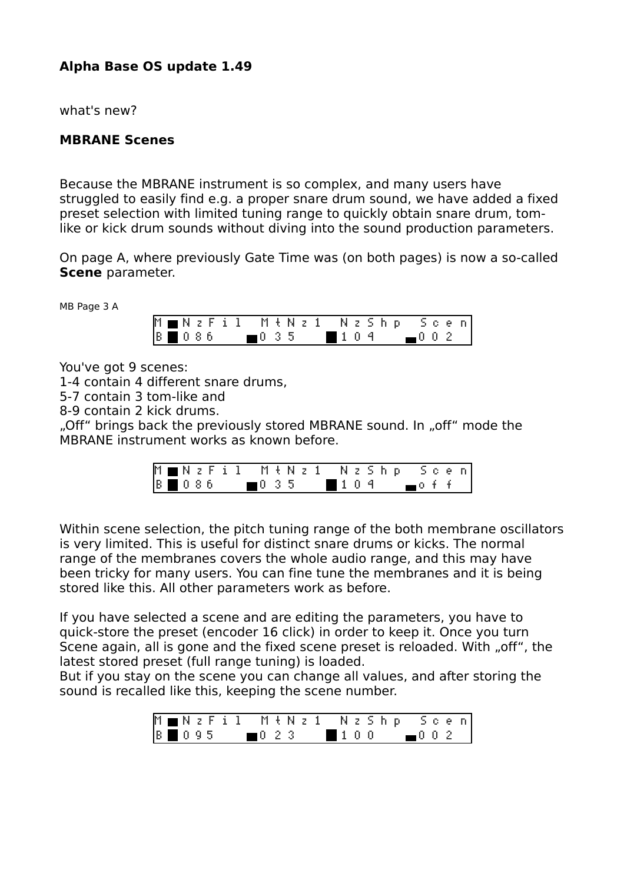## **Alpha Base OS update 1.49**

what's new?

## **MBRANE Scenes**

Because the MBRANE instrument is so complex, and many users have struggled to easily find e.g. a proper snare drum sound, we have added a fixed preset selection with limited tuning range to quickly obtain snare drum, tomlike or kick drum sounds without diving into the sound production parameters.

On page A, where previously Gate Time was (on both pages) is now a so-called **Scene** parameter.

MB Page 3 A

|                              |  |  |  |  |  |  |  |  | MMNzFil MtNz1 NzShp Scen |  |  |
|------------------------------|--|--|--|--|--|--|--|--|--------------------------|--|--|
| $8 \ 0 \ 8 \ 6 \ 10 \ 3 \ 5$ |  |  |  |  |  |  |  |  | $104$ 002                |  |  |

You've got 9 scenes:

1-4 contain 4 different snare drums,

5-7 contain 3 tom-like and

8-9 contain 2 kick drums.

"Off" brings back the previously stored MBRANE sound. In "off" mode the MBRANE instrument works as known before.

|  |  |  |  |  |  |  |  |  | M∎NzFil MtNz1 NzShp Scen                  |  |  |
|--|--|--|--|--|--|--|--|--|-------------------------------------------|--|--|
|  |  |  |  |  |  |  |  |  | $ 8 \mod 86$ $ 0.35 \mod 10.9$ $ 0.4 +  $ |  |  |

Within scene selection, the pitch tuning range of the both membrane oscillators is very limited. This is useful for distinct snare drums or kicks. The normal range of the membranes covers the whole audio range, and this may have been tricky for many users. You can fine tune the membranes and it is being stored like this. All other parameters work as before.

If you have selected a scene and are editing the parameters, you have to quick-store the preset (encoder 16 click) in order to keep it. Once you turn Scene again, all is gone and the fixed scene preset is reloaded. With "off", the latest stored preset (full range tuning) is loaded.

But if you stay on the scene you can change all values, and after storing the sound is recalled like this, keeping the scene number.

|  |  |  | M∎NzFil MŧNz1 NzShp Scen       |  |  |  |  |  |  |  |
|--|--|--|--------------------------------|--|--|--|--|--|--|--|
|  |  |  | $8 \ 0.95 \ 0.23 \ 1.00 \ 0.2$ |  |  |  |  |  |  |  |